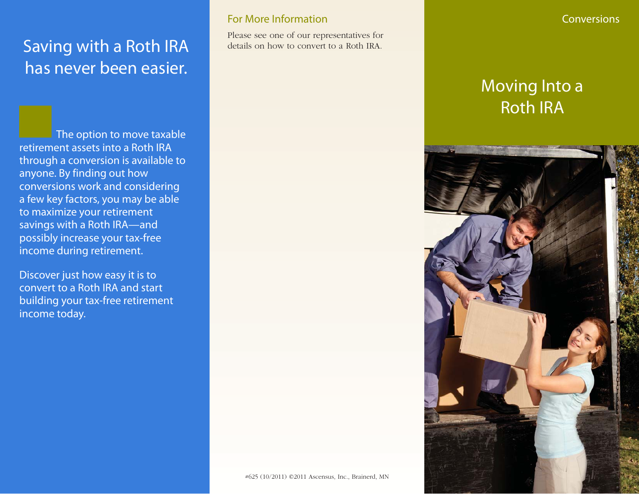# Saving with a Roth IRA has never been easier.

The option to move taxable retirement assets into a Roth IRA through a conversion is available to anyone. By finding out how conversions work and considering a few key factors, you may be able to maximize your retirement savings with a Roth IRA—and possibly increase your tax-free income during retirement.

Discover just how easy it is to convert to a Roth IRA and start building your tax-free retirement income today.

### For More Information

Please see one of our representatives for details on how to convert to a Roth IRA.

#### **Conversions**

# Moving Into a Roth IRA